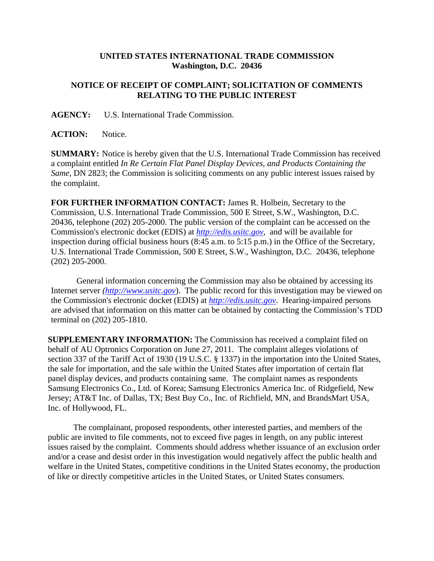## **UNITED STATES INTERNATIONAL TRADE COMMISSION Washington, D.C. 20436**

## **NOTICE OF RECEIPT OF COMPLAINT; SOLICITATION OF COMMENTS RELATING TO THE PUBLIC INTEREST**

**AGENCY:** U.S. International Trade Commission.

**ACTION:** Notice.

**SUMMARY:** Notice is hereby given that the U.S. International Trade Commission has received a complaint entitled *In Re Certain Flat Panel Display Devices, and Products Containing the Same*, DN 2823; the Commission is soliciting comments on any public interest issues raised by the complaint.

**FOR FURTHER INFORMATION CONTACT:** James R. Holbein, Secretary to the Commission, U.S. International Trade Commission, 500 E Street, S.W., Washington, D.C. 20436, telephone (202) 205-2000. The public version of the complaint can be accessed on the Commission's electronic docket (EDIS) at *http://edis.usitc.gov*,and will be available for inspection during official business hours (8:45 a.m. to 5:15 p.m.) in the Office of the Secretary, U.S. International Trade Commission, 500 E Street, S.W., Washington, D.C. 20436, telephone (202) 205-2000.

General information concerning the Commission may also be obtained by accessing its Internet server *(http://www.usitc.gov*). The public record for this investigation may be viewed on the Commission's electronic docket (EDIS) at *http://edis.usitc.gov*. Hearing-impaired persons are advised that information on this matter can be obtained by contacting the Commission's TDD terminal on (202) 205-1810.

**SUPPLEMENTARY INFORMATION:** The Commission has received a complaint filed on behalf of AU Optronics Corporation on June 27, 2011. The complaint alleges violations of section 337 of the Tariff Act of 1930 (19 U.S.C. § 1337) in the importation into the United States, the sale for importation, and the sale within the United States after importation of certain flat panel display devices, and products containing same. The complaint names as respondents Samsung Electronics Co., Ltd. of Korea; Samsung Electronics America Inc. of Ridgefield, New Jersey; AT&T Inc. of Dallas, TX; Best Buy Co., Inc. of Richfield, MN, and BrandsMart USA, Inc. of Hollywood, FL.

The complainant, proposed respondents, other interested parties, and members of the public are invited to file comments, not to exceed five pages in length, on any public interest issues raised by the complaint. Comments should address whether issuance of an exclusion order and/or a cease and desist order in this investigation would negatively affect the public health and welfare in the United States, competitive conditions in the United States economy, the production of like or directly competitive articles in the United States, or United States consumers.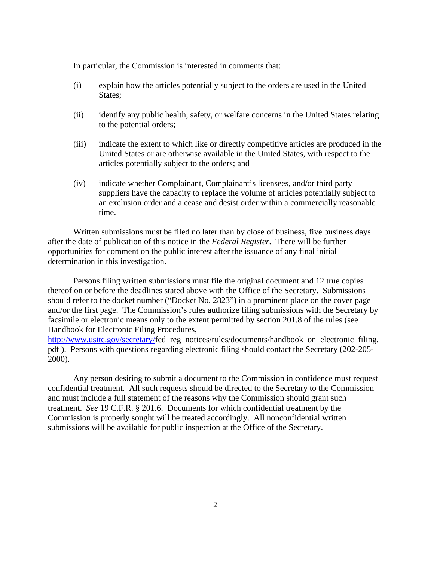In particular, the Commission is interested in comments that:

- (i) explain how the articles potentially subject to the orders are used in the United States:
- (ii) identify any public health, safety, or welfare concerns in the United States relating to the potential orders;
- (iii) indicate the extent to which like or directly competitive articles are produced in the United States or are otherwise available in the United States, with respect to the articles potentially subject to the orders; and
- (iv) indicate whether Complainant, Complainant's licensees, and/or third party suppliers have the capacity to replace the volume of articles potentially subject to an exclusion order and a cease and desist order within a commercially reasonable time.

Written submissions must be filed no later than by close of business, five business days after the date of publication of this notice in the *Federal Register*. There will be further opportunities for comment on the public interest after the issuance of any final initial determination in this investigation.

Persons filing written submissions must file the original document and 12 true copies thereof on or before the deadlines stated above with the Office of the Secretary. Submissions should refer to the docket number ("Docket No. 2823") in a prominent place on the cover page and/or the first page. The Commission's rules authorize filing submissions with the Secretary by facsimile or electronic means only to the extent permitted by section 201.8 of the rules (see Handbook for Electronic Filing Procedures,

http://www.usitc.gov/secretary/fed\_reg\_notices/rules/documents/handbook\_on\_electronic\_filing. pdf ). Persons with questions regarding electronic filing should contact the Secretary (202-205- 2000).

Any person desiring to submit a document to the Commission in confidence must request confidential treatment. All such requests should be directed to the Secretary to the Commission and must include a full statement of the reasons why the Commission should grant such treatment. *See* 19 C.F.R. § 201.6. Documents for which confidential treatment by the Commission is properly sought will be treated accordingly. All nonconfidential written submissions will be available for public inspection at the Office of the Secretary.